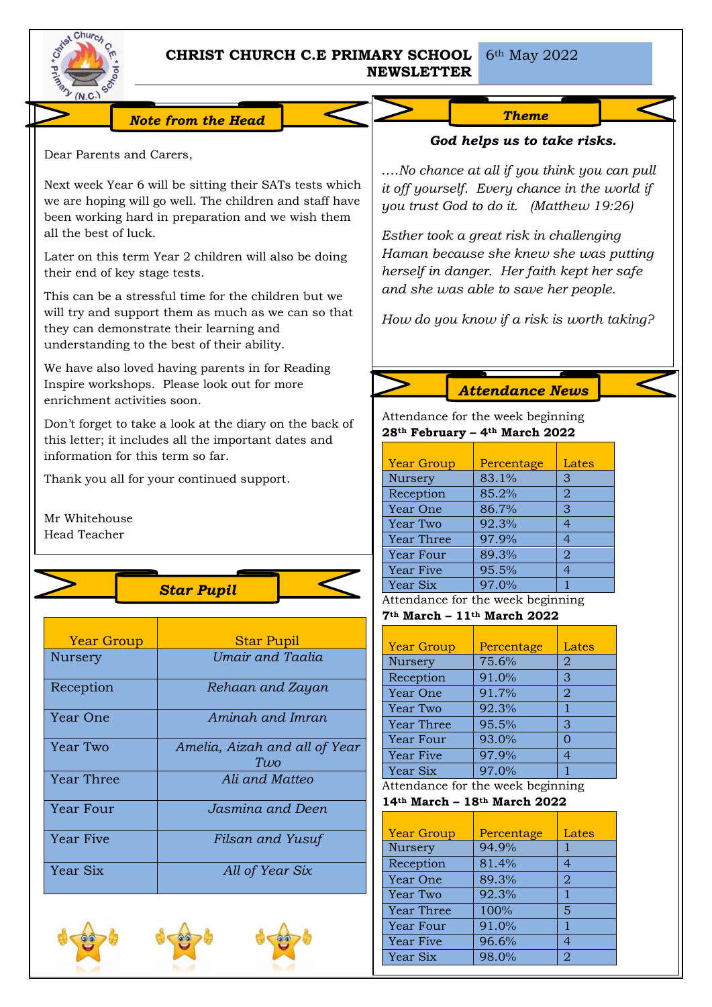

Dear Parents and Carers,

their end of key stage tests.

all the best of luck.

# **CHRIST CHURCH C.E PRIMARY SCHOOL NEWSLETTER**

6th May 2022

*Note from the Head* 

Next week Year 6 will be sitting their SATs tests which we are hoping will go well. The children and staff have been working hard in preparation and we wish them

Later on this term Year 2 children will also be doing

This can be a stressful time for the children but we will try and support them as much as we can so that

# *We are preparing for Christmas.*

*God helps us to take risks.*

*….No chance at all if you think you can pull it off yourself. Every chance in the world if you trust God to do it. (Matthew 19:26)*

*Esther took a great risk in challenging Haman because she knew she was putting herself in danger. Her faith kept her safe and she was able to save her people.*

*How do you know if a risk is worth taking?*

understanding to the best of their ability.

We have also loved having parents in for Reading Inspire workshops. Please look out for more enrichment activities soon.

Don't forget to take a look at the diary on the back of this letter; it includes all the important dates and information for this term so far.

Thank you all for your continued support.

they can demonstrate their learning and

Mr Whitehouse Head Teacher



| <b>Year Group</b> | <b>Star Pupil</b>                    |  |  |
|-------------------|--------------------------------------|--|--|
| Nursery           | Umair and Taalia                     |  |  |
| Reception         | Rehaan and Zayan                     |  |  |
| Year One          | Amingh and Imran                     |  |  |
| Year Two          | Amelia, Aizah and all of Year<br>Two |  |  |
| <b>Year Three</b> | Ali and Matteo                       |  |  |
| Year Four         | Jasmina and Deen                     |  |  |
| Year Five         | Filsan and Yusuf                     |  |  |
| Year Six          | All of Year Six                      |  |  |





*Attendance News*

Attendance for the week beginning **28th February – 4th March 2022**

| <b>Year Group</b> | Percentage | Lates          |
|-------------------|------------|----------------|
| Nursery           | 83.1%      | З              |
| Reception         | 85.2%      | 2              |
| Year One          | 86.7%      | 3              |
| Year Two          | 92.3%      | 4              |
| <b>Year Three</b> | 97.9%      | 4              |
| Year Four         | 89.3%      | $\overline{2}$ |
| <b>Year Five</b>  | 95.5%      | 4              |
| Year Six          | 97.0%      |                |

Attendance for the week beginning

### **7th March – 11th March 2022**

| <b>Year Group</b> | Percentage | Lates          |
|-------------------|------------|----------------|
| Nursery           | 75.6%      | 2              |
| Reception         | 91.0%      | 3              |
| Year One          | 91.7%      | 2              |
| Year Two          | 92.3%      |                |
| Year Three        | 95.5%      | 3              |
| Year Four         | 93.0%      | ∩              |
| Year Five         | 97.9%      | $\overline{4}$ |
| Year Six          | 97.0%      |                |

Attendance for the week beginning

## **14th March – 18th March 2022**

| <b>Year Group</b> | Percentage | Lates          |
|-------------------|------------|----------------|
| Nursery           | 94.9%      |                |
| Reception         | 81.4%      | 4              |
| Year One          | 89.3%      | $\overline{2}$ |
| Year Two          | 92.3%      |                |
| <b>Year Three</b> | 100%       | 5              |
| Year Four         | 91.0%      |                |
| <b>Year Five</b>  | 96.6%      |                |
| Year Six          | 98.0%      | 2              |